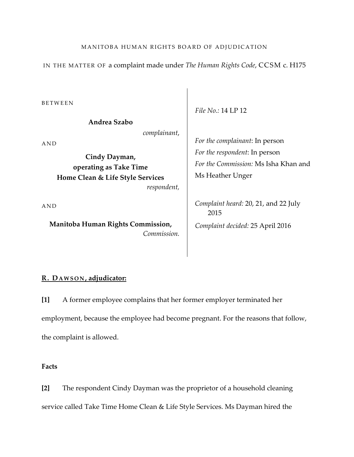IN THE MATTER OF a complaint made under *The Human Rights Code*, CCSM c. H175

BETWEEN

**Andrea Szabo**

*complainant*,

AND

**Cindy Dayman, operating as Take Time Home Clean & Life Style Services**  *respondent,*

AND

**Manitoba Human Rights Commission,** *Commission.* *File No.:* 14 LP 12

*For the complainant*: In person *For the respondent*: In person *For the Commission:* Ms Isha Khan and Ms Heather Unger

*Complaint heard:* 20, 21, and 22 July 2015 *Complaint decided:* 25 April 2016

# **R. DAWSON , adjudicator:**

**[1]** A former employee complains that her former employer terminated her employment, because the employee had become pregnant. For the reasons that follow, the complaint is allowed.

# **Facts**

**[2]** The respondent Cindy Dayman was the proprietor of a household cleaning service called Take Time Home Clean & Life Style Services. Ms Dayman hired the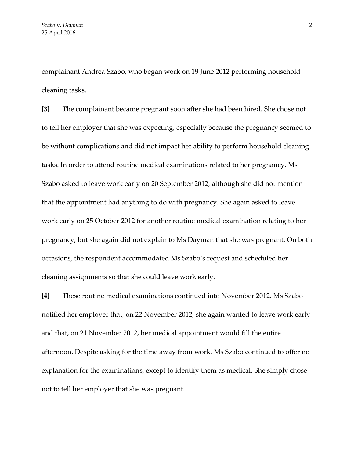complainant Andrea Szabo, who began work on 19 June 2012 performing household cleaning tasks.

**[3]** The complainant became pregnant soon after she had been hired. She chose not to tell her employer that she was expecting, especially because the pregnancy seemed to be without complications and did not impact her ability to perform household cleaning tasks. In order to attend routine medical examinations related to her pregnancy, Ms Szabo asked to leave work early on 20 September 2012, although she did not mention that the appointment had anything to do with pregnancy. She again asked to leave work early on 25 October 2012 for another routine medical examination relating to her pregnancy, but she again did not explain to Ms Dayman that she was pregnant. On both occasions, the respondent accommodated Ms Szabo's request and scheduled her cleaning assignments so that she could leave work early.

**[4]** These routine medical examinations continued into November 2012. Ms Szabo notified her employer that, on 22 November 2012, she again wanted to leave work early and that, on 21 November 2012, her medical appointment would fill the entire afternoon. Despite asking for the time away from work, Ms Szabo continued to offer no explanation for the examinations, except to identify them as medical. She simply chose not to tell her employer that she was pregnant.

2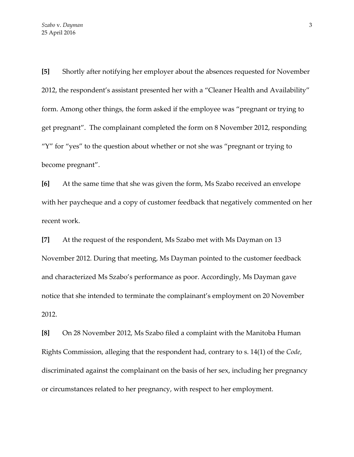**[5]** Shortly after notifying her employer about the absences requested for November 2012, the respondent's assistant presented her with a "Cleaner Health and Availability" form. Among other things, the form asked if the employee was "pregnant or trying to get pregnant". The complainant completed the form on 8 November 2012, responding "Y" for "yes" to the question about whether or not she was "pregnant or trying to become pregnant".

**[6]** At the same time that she was given the form, Ms Szabo received an envelope with her paycheque and a copy of customer feedback that negatively commented on her recent work.

**[7]** At the request of the respondent, Ms Szabo met with Ms Dayman on 13 November 2012. During that meeting, Ms Dayman pointed to the customer feedback and characterized Ms Szabo's performance as poor. Accordingly, Ms Dayman gave notice that she intended to terminate the complainant's employment on 20 November 2012.

**[8]** On 28 November 2012, Ms Szabo filed a complaint with the Manitoba Human Rights Commission, alleging that the respondent had, contrary to s. 14(1) of the *Code*, discriminated against the complainant on the basis of her sex, including her pregnancy or circumstances related to her pregnancy, with respect to her employment.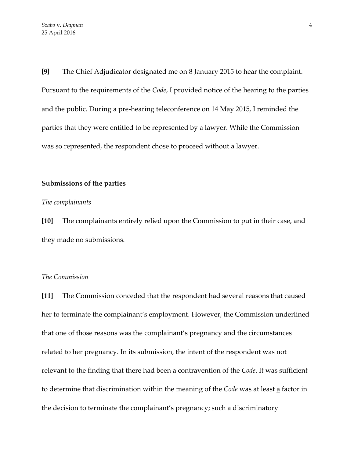**[9]** The Chief Adjudicator designated me on 8 January 2015 to hear the complaint. Pursuant to the requirements of the *Code*, I provided notice of the hearing to the parties and the public. During a pre-hearing teleconference on 14 May 2015, I reminded the parties that they were entitled to be represented by a lawyer. While the Commission was so represented, the respondent chose to proceed without a lawyer.

### **Submissions of the parties**

#### *The complainants*

**[10]** The complainants entirely relied upon the Commission to put in their case, and they made no submissions.

### *The Commission*

**[11]** The Commission conceded that the respondent had several reasons that caused her to terminate the complainant's employment. However, the Commission underlined that one of those reasons was the complainant's pregnancy and the circumstances related to her pregnancy. In its submission, the intent of the respondent was not relevant to the finding that there had been a contravention of the *Code*. It was sufficient to determine that discrimination within the meaning of the *Code* was at least a factor in the decision to terminate the complainant's pregnancy; such a discriminatory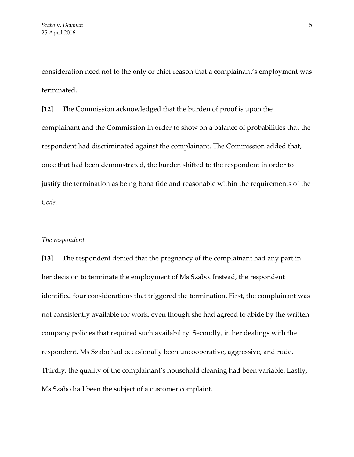consideration need not to the only or chief reason that a complainant's employment was terminated.

**[12]** The Commission acknowledged that the burden of proof is upon the complainant and the Commission in order to show on a balance of probabilities that the respondent had discriminated against the complainant. The Commission added that, once that had been demonstrated, the burden shifted to the respondent in order to justify the termination as being bona fide and reasonable within the requirements of the *Code*.

## *The respondent*

**[13]** The respondent denied that the pregnancy of the complainant had any part in her decision to terminate the employment of Ms Szabo. Instead, the respondent identified four considerations that triggered the termination. First, the complainant was not consistently available for work, even though she had agreed to abide by the written company policies that required such availability. Secondly, in her dealings with the respondent, Ms Szabo had occasionally been uncooperative, aggressive, and rude. Thirdly, the quality of the complainant's household cleaning had been variable. Lastly, Ms Szabo had been the subject of a customer complaint.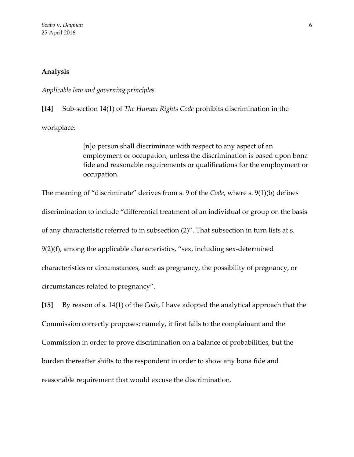# **Analysis**

#### *Applicable law and governing principles*

**[14]** Sub-section 14(1) of *The Human Rights Code* prohibits discrimination in the workplace:

> [n]o person shall discriminate with respect to any aspect of an employment or occupation, unless the discrimination is based upon bona fide and reasonable requirements or qualifications for the employment or occupation.

The meaning of "discriminate" derives from s. 9 of the *Code*, where s. 9(1)(b) defines discrimination to include "differential treatment of an individual or group on the basis of any characteristic referred to in subsection (2)". That subsection in turn lists at s. 9(2)(f), among the applicable characteristics, "sex, including sex-determined characteristics or circumstances, such as pregnancy, the possibility of pregnancy, or circumstances related to pregnancy".

**[15]** By reason of s. 14(1) of the *Code*, I have adopted the analytical approach that the Commission correctly proposes; namely, it first falls to the complainant and the Commission in order to prove discrimination on a balance of probabilities, but the burden thereafter shifts to the respondent in order to show any bona fide and reasonable requirement that would excuse the discrimination.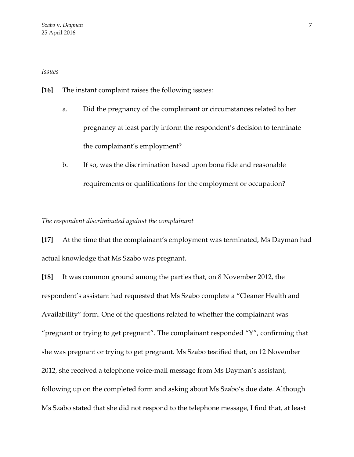*Issues*

**[16]** The instant complaint raises the following issues:

- a. Did the pregnancy of the complainant or circumstances related to her pregnancy at least partly inform the respondent's decision to terminate the complainant's employment?
- b. If so, was the discrimination based upon bona fide and reasonable requirements or qualifications for the employment or occupation?

*The respondent discriminated against the complainant*

**[17]** At the time that the complainant's employment was terminated, Ms Dayman had actual knowledge that Ms Szabo was pregnant.

**[18]** It was common ground among the parties that, on 8 November 2012, the respondent's assistant had requested that Ms Szabo complete a "Cleaner Health and Availability" form. One of the questions related to whether the complainant was "pregnant or trying to get pregnant". The complainant responded "Y", confirming that she was pregnant or trying to get pregnant. Ms Szabo testified that, on 12 November 2012, she received a telephone voice-mail message from Ms Dayman's assistant, following up on the completed form and asking about Ms Szabo's due date. Although Ms Szabo stated that she did not respond to the telephone message, I find that, at least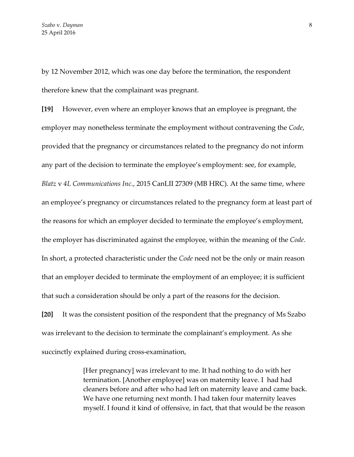by 12 November 2012, which was one day before the termination, the respondent therefore knew that the complainant was pregnant.

**[19]** However, even where an employer knows that an employee is pregnant, the employer may nonetheless terminate the employment without contravening the *Code*, provided that the pregnancy or circumstances related to the pregnancy do not inform any part of the decision to terminate the employee's employment: see, for example, *Blatz* v *4L Communications Inc*., 2015 CanLII 27309 (MB HRC). At the same time, where an employee's pregnancy or circumstances related to the pregnancy form at least part of the reasons for which an employer decided to terminate the employee's employment, the employer has discriminated against the employee, within the meaning of the *Code*. In short, a protected characteristic under the *Code* need not be the only or main reason that an employer decided to terminate the employment of an employee; it is sufficient that such a consideration should be only a part of the reasons for the decision.

**[20]** It was the consistent position of the respondent that the pregnancy of Ms Szabo was irrelevant to the decision to terminate the complainant's employment. As she succinctly explained during cross-examination,

> [Her pregnancy] was irrelevant to me. It had nothing to do with her termination. [Another employee] was on maternity leave. I had had cleaners before and after who had left on maternity leave and came back. We have one returning next month. I had taken four maternity leaves myself. I found it kind of offensive, in fact, that that would be the reason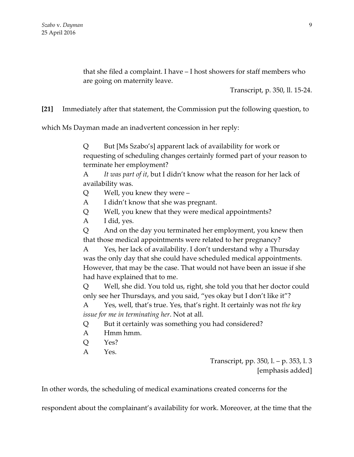that she filed a complaint. I have – I host showers for staff members who are going on maternity leave.

Transcript, p. 350, ll. 15-24.

**[21]** Immediately after that statement, the Commission put the following question, to

which Ms Dayman made an inadvertent concession in her reply:

Q But [Ms Szabo's] apparent lack of availability for work or requesting of scheduling changes certainly formed part of your reason to terminate her employment?

A *It was part of it*, but I didn't know what the reason for her lack of availability was.

- Q Well, you knew they were –
- A I didn't know that she was pregnant.
- Q Well, you knew that they were medical appointments?
- A I did, yes.

Q And on the day you terminated her employment, you knew then that those medical appointments were related to her pregnancy?

A Yes, her lack of availability. I don't understand why a Thursday was the only day that she could have scheduled medical appointments. However, that may be the case. That would not have been an issue if she had have explained that to me.

Q Well, she did. You told us, right, she told you that her doctor could only see her Thursdays, and you said, "yes okay but I don't like it"?

A Yes, well, that's true. Yes, that's right. It certainly was not *the key issue for me in terminating her*. Not at all.

- Q But it certainly was something you had considered?
- A Hmm hmm.
- Q Yes?
- A Yes.

Transcript, pp. 350, l. – p. 353, l. 3 [emphasis added]

In other words, the scheduling of medical examinations created concerns for the

respondent about the complainant's availability for work. Moreover, at the time that the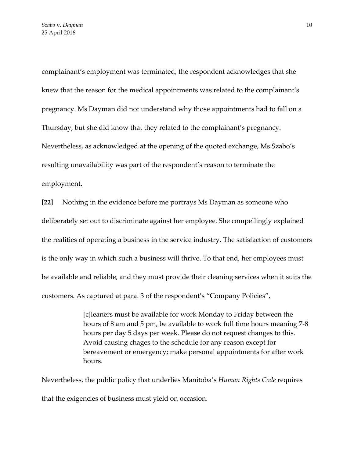complainant's employment was terminated, the respondent acknowledges that she knew that the reason for the medical appointments was related to the complainant's pregnancy. Ms Dayman did not understand why those appointments had to fall on a Thursday, but she did know that they related to the complainant's pregnancy. Nevertheless, as acknowledged at the opening of the quoted exchange, Ms Szabo's resulting unavailability was part of the respondent's reason to terminate the employment.

**[22]** Nothing in the evidence before me portrays Ms Dayman as someone who deliberately set out to discriminate against her employee. She compellingly explained the realities of operating a business in the service industry. The satisfaction of customers is the only way in which such a business will thrive. To that end, her employees must be available and reliable, and they must provide their cleaning services when it suits the customers. As captured at para. 3 of the respondent's "Company Policies",

> [c]leaners must be available for work Monday to Friday between the hours of 8 am and 5 pm, be available to work full time hours meaning 7-8 hours per day 5 days per week. Please do not request changes to this. Avoid causing chages to the schedule for any reason except for bereavement or emergency; make personal appointments for after work hours.

Nevertheless, the public policy that underlies Manitoba's *Human Rights Code* requires that the exigencies of business must yield on occasion.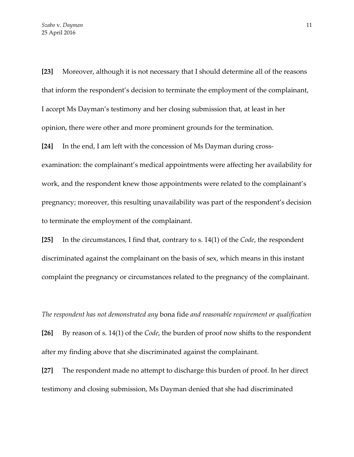**[23]** Moreover, although it is not necessary that I should determine all of the reasons that inform the respondent's decision to terminate the employment of the complainant, I accept Ms Dayman's testimony and her closing submission that, at least in her opinion, there were other and more prominent grounds for the termination.

**[24]** In the end, I am left with the concession of Ms Dayman during crossexamination: the complainant's medical appointments were affecting her availability for work, and the respondent knew those appointments were related to the complainant's pregnancy; moreover, this resulting unavailability was part of the respondent's decision to terminate the employment of the complainant.

**[25]** In the circumstances, I find that, contrary to s. 14(1) of the *Code*, the respondent discriminated against the complainant on the basis of sex, which means in this instant complaint the pregnancy or circumstances related to the pregnancy of the complainant.

*The respondent has not demonstrated any* bona fide *and reasonable requirement or qualification*

**[26]** By reason of s. 14(1) of the *Code*, the burden of proof now shifts to the respondent after my finding above that she discriminated against the complainant.

**[27]** The respondent made no attempt to discharge this burden of proof. In her direct testimony and closing submission, Ms Dayman denied that she had discriminated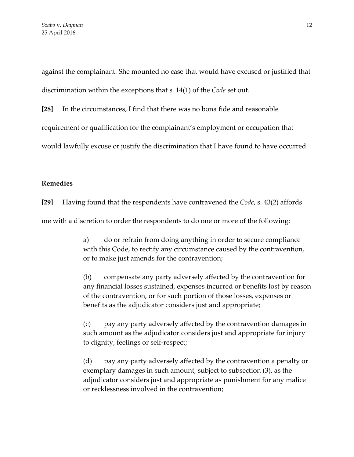against the complainant. She mounted no case that would have excused or justified that discrimination within the exceptions that s. 14(1) of the *Code* set out.

**[28]** In the circumstances, I find that there was no bona fide and reasonable

requirement or qualification for the complainant's employment or occupation that

would lawfully excuse or justify the discrimination that I have found to have occurred.

# **Remedies**

**[29]** Having found that the respondents have contravened the *Code*, s. 43(2) affords

me with a discretion to order the respondents to do one or more of the following:

a) do or refrain from doing anything in order to secure compliance with this Code, to rectify any circumstance caused by the contravention, or to make just amends for the contravention;

(b) compensate any party adversely affected by the contravention for any financial losses sustained, expenses incurred or benefits lost by reason of the contravention, or for such portion of those losses, expenses or benefits as the adjudicator considers just and appropriate;

(c) pay any party adversely affected by the contravention damages in such amount as the adjudicator considers just and appropriate for injury to dignity, feelings or self-respect;

(d) pay any party adversely affected by the contravention a penalty or exemplary damages in such amount, subject to subsection (3), as the adjudicator considers just and appropriate as punishment for any malice or recklessness involved in the contravention;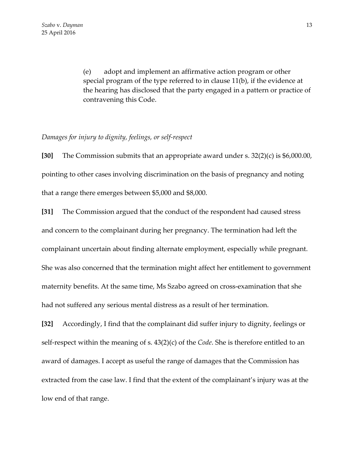(e) adopt and implement an affirmative action program or other special program of the type referred to in clause 11(b), if the evidence at the hearing has disclosed that the party engaged in a pattern or practice of contravening this Code.

## *Damages for injury to dignity, feelings, or self-respect*

**[30]** The Commission submits that an appropriate award under s. 32(2)(c) is \$6,000.00, pointing to other cases involving discrimination on the basis of pregnancy and noting that a range there emerges between \$5,000 and \$8,000.

**[31]** The Commission argued that the conduct of the respondent had caused stress and concern to the complainant during her pregnancy. The termination had left the complainant uncertain about finding alternate employment, especially while pregnant. She was also concerned that the termination might affect her entitlement to government maternity benefits. At the same time, Ms Szabo agreed on cross-examination that she had not suffered any serious mental distress as a result of her termination.

**[32]** Accordingly, I find that the complainant did suffer injury to dignity, feelings or self-respect within the meaning of s. 43(2)(c) of the *Code*. She is therefore entitled to an award of damages. I accept as useful the range of damages that the Commission has extracted from the case law. I find that the extent of the complainant's injury was at the low end of that range.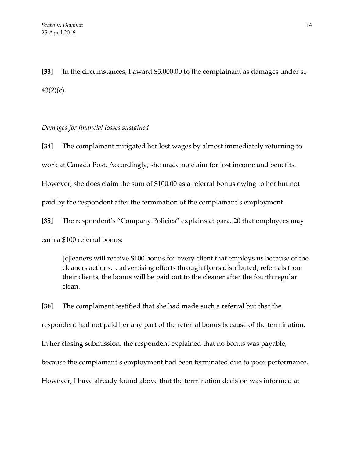**[33]** In the circumstances, I award \$5,000.00 to the complainant as damages under s.,  $43(2)(c)$ .

# *Damages for financial losses sustained*

**[34]** The complainant mitigated her lost wages by almost immediately returning to work at Canada Post. Accordingly, she made no claim for lost income and benefits. However, she does claim the sum of \$100.00 as a referral bonus owing to her but not paid by the respondent after the termination of the complainant's employment.

**[35]** The respondent's "Company Policies" explains at para. 20 that employees may earn a \$100 referral bonus:

[c]leaners will receive \$100 bonus for every client that employs us because of the cleaners actions… advertising efforts through flyers distributed; referrals from their clients; the bonus will be paid out to the cleaner after the fourth regular clean.

**[36]** The complainant testified that she had made such a referral but that the respondent had not paid her any part of the referral bonus because of the termination. In her closing submission, the respondent explained that no bonus was payable, because the complainant's employment had been terminated due to poor performance. However, I have already found above that the termination decision was informed at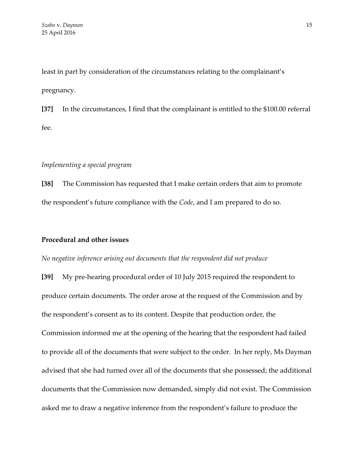least in part by consideration of the circumstances relating to the complainant's pregnancy.

**[37]** In the circumstances, I find that the complainant is entitled to the \$100.00 referral fee.

## *Implementing a special program*

**[38]** The Commission has requested that I make certain orders that aim to promote the respondent's future compliance with the *Code*, and I am prepared to do so.

### **Procedural and other issues**

*No negative inference arising out documents that the respondent did not produce*

**[39]** My pre-hearing procedural order of 10 July 2015 required the respondent to produce certain documents. The order arose at the request of the Commission and by the respondent's consent as to its content. Despite that production order, the Commission informed me at the opening of the hearing that the respondent had failed to provide all of the documents that were subject to the order. In her reply, Ms Dayman advised that she had turned over all of the documents that she possessed; the additional documents that the Commission now demanded, simply did not exist. The Commission asked me to draw a negative inference from the respondent's failure to produce the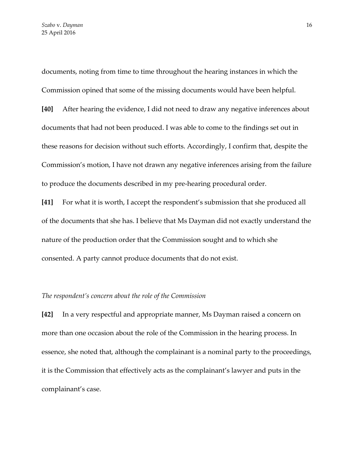documents, noting from time to time throughout the hearing instances in which the Commission opined that some of the missing documents would have been helpful.

**[40]** After hearing the evidence, I did not need to draw any negative inferences about documents that had not been produced. I was able to come to the findings set out in these reasons for decision without such efforts. Accordingly, I confirm that, despite the Commission's motion, I have not drawn any negative inferences arising from the failure to produce the documents described in my pre-hearing procedural order.

**[41]** For what it is worth, I accept the respondent's submission that she produced all of the documents that she has. I believe that Ms Dayman did not exactly understand the nature of the production order that the Commission sought and to which she consented. A party cannot produce documents that do not exist.

### *The respondent's concern about the role of the Commission*

**[42]** In a very respectful and appropriate manner, Ms Dayman raised a concern on more than one occasion about the role of the Commission in the hearing process. In essence, she noted that, although the complainant is a nominal party to the proceedings, it is the Commission that effectively acts as the complainant's lawyer and puts in the complainant's case.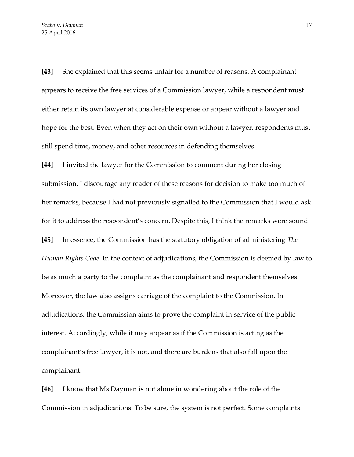**[43]** She explained that this seems unfair for a number of reasons. A complainant appears to receive the free services of a Commission lawyer, while a respondent must either retain its own lawyer at considerable expense or appear without a lawyer and hope for the best. Even when they act on their own without a lawyer, respondents must still spend time, money, and other resources in defending themselves.

**[44]** I invited the lawyer for the Commission to comment during her closing submission. I discourage any reader of these reasons for decision to make too much of her remarks, because I had not previously signalled to the Commission that I would ask for it to address the respondent's concern. Despite this, I think the remarks were sound.

**[45]** In essence, the Commission has the statutory obligation of administering *The Human Rights Code*. In the context of adjudications, the Commission is deemed by law to be as much a party to the complaint as the complainant and respondent themselves. Moreover, the law also assigns carriage of the complaint to the Commission. In adjudications, the Commission aims to prove the complaint in service of the public interest. Accordingly, while it may appear as if the Commission is acting as the complainant's free lawyer, it is not, and there are burdens that also fall upon the complainant.

**[46]** I know that Ms Dayman is not alone in wondering about the role of the Commission in adjudications. To be sure, the system is not perfect. Some complaints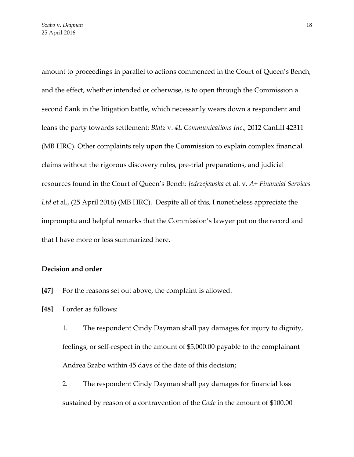amount to proceedings in parallel to actions commenced in the Court of Queen's Bench, and the effect, whether intended or otherwise, is to open through the Commission a second flank in the litigation battle, which necessarily wears down a respondent and leans the party towards settlement: *Blatz* v. *4L Communications Inc*., 2012 CanLII 42311 (MB HRC). Other complaints rely upon the Commission to explain complex financial claims without the rigorous discovery rules, pre-trial preparations, and judicial resources found in the Court of Queen's Bench: *Jedrzejewska* et al. v. *A+ Financial Services Ltd* et al., (25 April 2016) (MB HRC). Despite all of this, I nonetheless appreciate the impromptu and helpful remarks that the Commission's lawyer put on the record and that I have more or less summarized here.

# **Decision and order**

- **[47]** For the reasons set out above, the complaint is allowed.
- **[48]** I order as follows:
	- 1. The respondent Cindy Dayman shall pay damages for injury to dignity, feelings, or self-respect in the amount of \$5,000.00 payable to the complainant Andrea Szabo within 45 days of the date of this decision;
	- 2. The respondent Cindy Dayman shall pay damages for financial loss sustained by reason of a contravention of the *Code* in the amount of \$100.00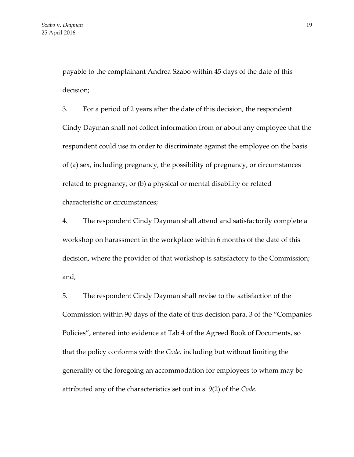payable to the complainant Andrea Szabo within 45 days of the date of this decision;

3. For a period of 2 years after the date of this decision, the respondent Cindy Dayman shall not collect information from or about any employee that the respondent could use in order to discriminate against the employee on the basis of (a) sex, including pregnancy, the possibility of pregnancy, or circumstances related to pregnancy, or (b) a physical or mental disability or related characteristic or circumstances;

4. The respondent Cindy Dayman shall attend and satisfactorily complete a workshop on harassment in the workplace within 6 months of the date of this decision, where the provider of that workshop is satisfactory to the Commission; and,

5. The respondent Cindy Dayman shall revise to the satisfaction of the Commission within 90 days of the date of this decision para. 3 of the "Companies Policies", entered into evidence at Tab 4 of the Agreed Book of Documents, so that the policy conforms with the *Code,* including but without limiting the generality of the foregoing an accommodation for employees to whom may be attributed any of the characteristics set out in s. 9(2) of the *Code*.